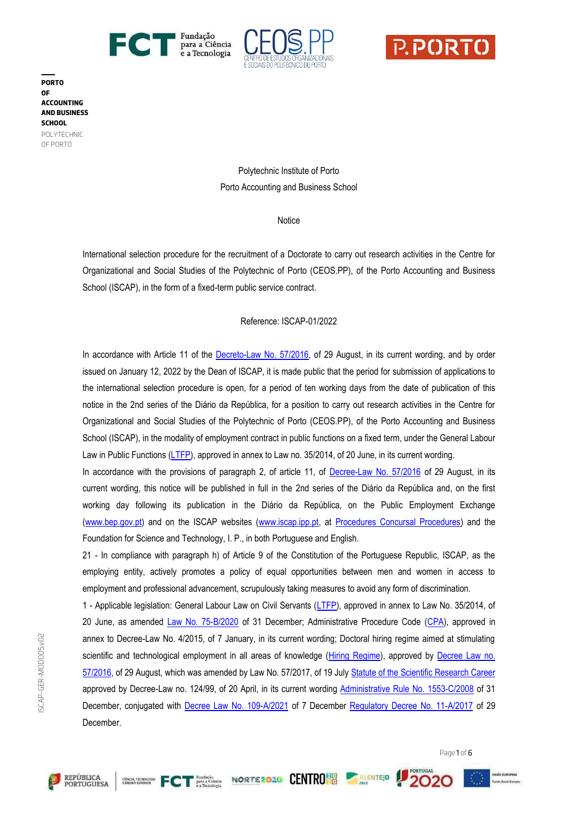





**PORTO OF ACCOUNTING AND BUSINESS SCHOOL** POLYTECHNIC OF PORTO

> Polytechnic Institute of Porto Porto Accounting and Business School

> > **Notice**

International selection procedure for the recruitment of a Doctorate to carry out research activities in the Centre for Organizational and Social Studies of the Polytechnic of Porto (CEOS.PP), of the Porto Accounting and Business School (ISCAP), in the form of a fixed-term public service contract.

## Reference: ISCAP-01/2022

In accordance with Article 11 of the [Decreto-Law No. 57/2016,](https://dre.pt/dre/legislacao-consolidada/decreto-lei/2016-107707370) of 29 August, in its current wording, and by order issued on January 12, 2022 by the Dean of ISCAP, it is made public that the period for submission of applications to the international selection procedure is open, for a period of ten working days from the date of publication of this notice in the 2nd series of the Diário da República, for a position to carry out research activities in the Centre for Organizational and Social Studies of the Polytechnic of Porto (CEOS.PP), of the Porto Accounting and Business School (ISCAP), in the modality of employment contract in public functions on a fixed term, under the General Labour Law in Public Functions [\(LTFP\),](http://www.pgdlisboa.pt/leis/lei_mostra_articulado.php?nid=2171&tabela=leis&ficha=1&pagina=1&so_miolo=) approved in annex to Law no. 35/2014, of 20 June, in its current wording.

In accordance with the provisions of paragraph 2, of article 11, of [Decree-Law No. 57/2016](https://dre.pt/dre/legislacao-consolidada/decreto-lei/2016-107707370) of 29 August, in its current wording, this notice will be published in full in the 2nd series of the Diário da República and, on the first working day following its publication in the Diário da República, on the Public Employment Exchange [\(www.bep.gov.pt\)](https://www.bep.gov.pt/default.aspx) and on the ISCAP websites [\(www.iscap.ipp.pt,](http://www.iscap.ipp.pt/) at [Procedures Concursal Procedures\)](https://www.iscap.ipp.pt/documentos-publicos/procedimentos-concursais/procedimentos-concursais) and the Foundation for Science and Technology, I. P., in both Portuguese and English.

21 - In compliance with paragraph h) of Article 9 of the Constitution of the Portuguese Republic, ISCAP, as the employing entity, actively promotes a policy of equal opportunities between men and women in access to employment and professional advancement, scrupulously taking measures to avoid any form of discrimination.

1 - Applicable legislation: General Labour Law on Civil Servants [\(LTFP\)](http://www.pgdlisboa.pt/leis/lei_mostra_articulado.php?nid=2171&tabela=leis&ficha=1&pagina=1&so_miolo=), approved in annex to Law No. 35/2014, of 20 June, as amended [Law No. 75-B/2020](https://dre.pt/web/guest/home/-/dre/152639825/details/maximized) of 31 December; Administrative Procedure Code [\(CPA\)](https://dre.pt/web/guest/pesquisa/-/search/66041468/details/normal?q=Decreto-Lei+n.%C2%BA%204%2F2015+de+7+de+janeiro), approved in annex to Decree-Law No. 4/2015, of 7 January, in its current wording; Doctoral hiring regime aimed at stimulating scientific and technological employment in all areas of knowledge [\(Hiring Regime\)](https://dre.pt/dre/legislacao-consolidada/decreto-lei/2016-107707370), approved by Decree Law no. [57/2016,](https://dre.pt/dre/legislacao-consolidada/decreto-lei/2016-107707370) of 29 August, which was amended by Law No. 57/2017, of 19 Jul[y Statute of the Scientific Research Career](https://dre.pt/web/guest/legislacao-consolidada/-/lc/873/202102131614/exportPdf/normal/1/cacheLevelPage?_LegislacaoConsolidada_WAR_drefrontofficeportlet_rp=indice) approved by Decree-Law no. 124/99, of 20 April, in its current wording [Administrative Rule No. 1553-C/2008](https://dre.pt/web/guest/pesquisa/-/search/243732/details/normal?q=Portaria+n.%C2%BA%201553-C%2F2008%2C%20de+31+de+dezembro) of 31 December, conjugated with [Decree Law No. 109-A/2021](https://dre.pt/dre/detalhe/decreto-lei/109-a-2021-175595603) of 7 December [Regulatory Decree No. 11-A/2017](https://dre.pt/application/file/a/114436216) of 29 December.







PORTUGAL

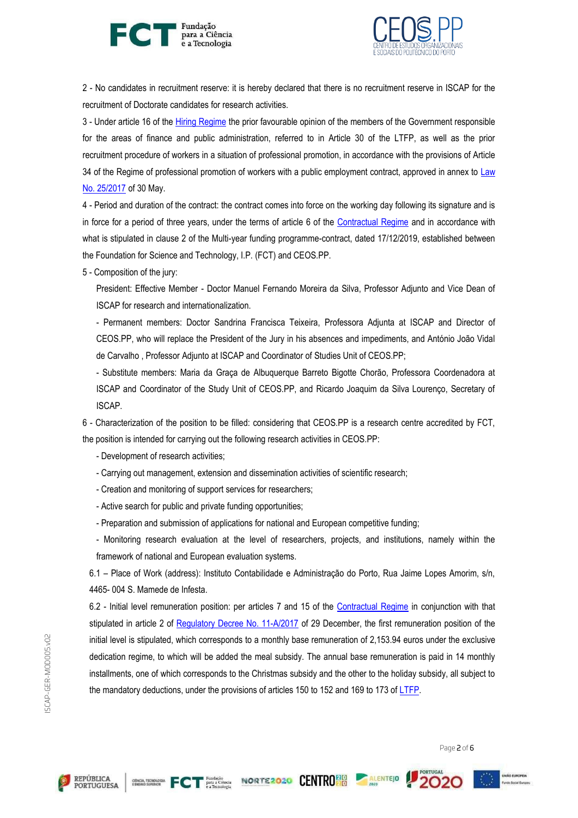



2 - No candidates in recruitment reserve: it is hereby declared that there is no recruitment reserve in ISCAP for the recruitment of Doctorate candidates for research activities.

3 - Under article 16 of the [Hiring Regime](https://dre.pt/dre/legislacao-consolidada/decreto-lei/2016-107707370) the prior favourable opinion of the members of the Government responsible for the areas of finance and public administration, referred to in Article 30 of the LTFP, as well as the prior recruitment procedure of workers in a situation of professional promotion, in accordance with the provisions of Article 34 of the Regime of professional promotion of workers with a public employment contract, approved in annex to [Law](https://dre.pt/web/guest/pesquisa/-/search/107094720/details/normal?q=Lei+n.%C2%BA%2025%2F2017)  [No. 25/2017](https://dre.pt/web/guest/pesquisa/-/search/107094720/details/normal?q=Lei+n.%C2%BA%2025%2F2017) of 30 May.

4 - Period and duration of the contract: the contract comes into force on the working day following its signature and is in force for a period of three years, under the terms of article 6 of the [Contractual Regime](https://dre.pt/dre/legislacao-consolidada/decreto-lei/2016-107707370) and in accordance with what is stipulated in clause 2 of the Multi-year funding programme-contract, dated 17/12/2019, established between the Foundation for Science and Technology, I.P. (FCT) and CEOS.PP.

5 - Composition of the jury:

President: Effective Member - Doctor Manuel Fernando Moreira da Silva, Professor Adjunto and Vice Dean of ISCAP for research and internationalization.

- Permanent members: Doctor Sandrina Francisca Teixeira, Professora Adjunta at ISCAP and Director of CEOS.PP, who will replace the President of the Jury in his absences and impediments, and António João Vidal de Carvalho , Professor Adjunto at ISCAP and Coordinator of Studies Unit of CEOS.PP;

- Substitute members: Maria da Graça de Albuquerque Barreto Bigotte Chorão, Professora Coordenadora at ISCAP and Coordinator of the Study Unit of CEOS.PP, and Ricardo Joaquim da Silva Lourenço, Secretary of ISCAP.

6 - Characterization of the position to be filled: considering that CEOS.PP is a research centre accredited by FCT, the position is intended for carrying out the following research activities in CEOS.PP:

- Development of research activities;
- Carrying out management, extension and dissemination activities of scientific research;
- Creation and monitoring of support services for researchers;
- Active search for public and private funding opportunities;
- Preparation and submission of applications for national and European competitive funding;

- Monitoring research evaluation at the level of researchers, projects, and institutions, namely within the framework of national and European evaluation systems.

6.1 – Place of Work (address): Instituto Contabilidade e Administração do Porto, Rua Jaime Lopes Amorim, s/n, 4465- 004 S. Mamede de Infesta.

6.2 - Initial level remuneration position: per articles 7 and 15 of the [Contractual Regime](https://dre.pt/dre/legislacao-consolidada/decreto-lei/2016-107707370) in conjunction with that stipulated in article 2 of [Regulatory Decree No. 11-A/2017](https://dre.pt/application/file/a/114436216) of 29 December, the first remuneration position of the initial level is stipulated, which corresponds to a monthly base remuneration of 2,153.94 euros under the exclusive dedication regime, to which will be added the meal subsidy. The annual base remuneration is paid in 14 monthly installments, one of which corresponds to the Christmas subsidy and the other to the holiday subsidy, all subject to the mandatory deductions, under the provisions of articles 150 to 152 and 169 to 173 of [LTFP.](http://www.pgdlisboa.pt/leis/lei_mostra_articulado.php?nid=2171&tabela=leis&ficha=1&pagina=1&so_miolo=)

Page 2 of 6







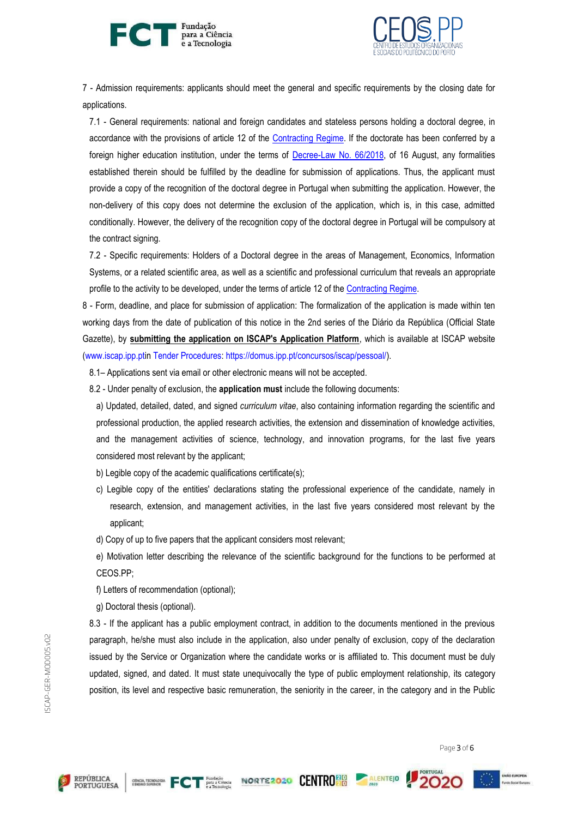



7 - Admission requirements: applicants should meet the general and specific requirements by the closing date for applications.

7.1 - General requirements: national and foreign candidates and stateless persons holding a doctoral degree, in accordance with the provisions of article 12 of the [Contracting Regime.](https://dre.pt/dre/legislacao-consolidada/decreto-lei/2016-107707370) If the doctorate has been conferred by a foreign higher education institution, under the terms of [Decree-Law](https://dre.pt/home/-/dre/116068880/details/maximized) No. 66/2018, of 16 August, any formalities established therein should be fulfilled by the deadline for submission of applications. Thus, the applicant must provide a copy of the recognition of the doctoral degree in Portugal when submitting the application. However, the non-delivery of this copy does not determine the exclusion of the application, which is, in this case, admitted conditionally. However, the delivery of the recognition copy of the doctoral degree in Portugal will be compulsory at the contract signing.

7.2 - Specific requirements: Holders of a Doctoral degree in the areas of Management, Economics, Information Systems, or a related scientific area, as well as a scientific and professional curriculum that reveals an appropriate profile to the activity to be developed, under the terms of article 12 of the [Contracting Regime.](https://dre.pt/dre/legislacao-consolidada/decreto-lei/2016-107707370)

8 - Form, deadline, and place for submission of application: The formalization of the application is made within ten working days from the date of publication of this notice in the 2nd series of the Diário da República (Official State Gazette), by **submitting the application on ISCAP's Application Platform**, which is available at ISCAP website [\(www.iscap.ipp.ptin](http://www.iscap.ipp.pt/) [Tender Procedures:](https://www.iscap.ipp.pt/documentos-publicos/procedimentos-concursais/procedimentos-concursais) [https://domus.ipp.pt/concursos/iscap/pessoal/\)](https://domus.ipp.pt/concursos/iscap/pessoal/).

8.1– Applications sent via email or other electronic means will not be accepted.

8.2 - Under penalty of exclusion, the **application must** include the following documents:

a) Updated, detailed, dated, and signed *curriculum vitae*, also containing information regarding the scientific and professional production, the applied research activities, the extension and dissemination of knowledge activities, and the management activities of science, technology, and innovation programs, for the last five years considered most relevant by the applicant;

- b) Legible copy of the academic qualifications certificate(s);
- c) Legible copy of the entities' declarations stating the professional experience of the candidate, namely in research, extension, and management activities, in the last five years considered most relevant by the applicant;
- d) Copy of up to five papers that the applicant considers most relevant;
- e) Motivation letter describing the relevance of the scientific background for the functions to be performed at CEOS.PP;
- f) Letters of recommendation (optional);
- g) Doctoral thesis (optional).

8.3 - If the applicant has a public employment contract, in addition to the documents mentioned in the previous paragraph, he/she must also include in the application, also under penalty of exclusion, copy of the declaration issued by the Service or Organization where the candidate works or is affiliated to. This document must be duly updated, signed, and dated. It must state unequivocally the type of public employment relationship, its category position, its level and respective basic remuneration, the seniority in the career, in the category and in the Public

SCAP-GER-MODOO5.vO2 ISCAP-GER-MOD005.v02

Page 3 of 6





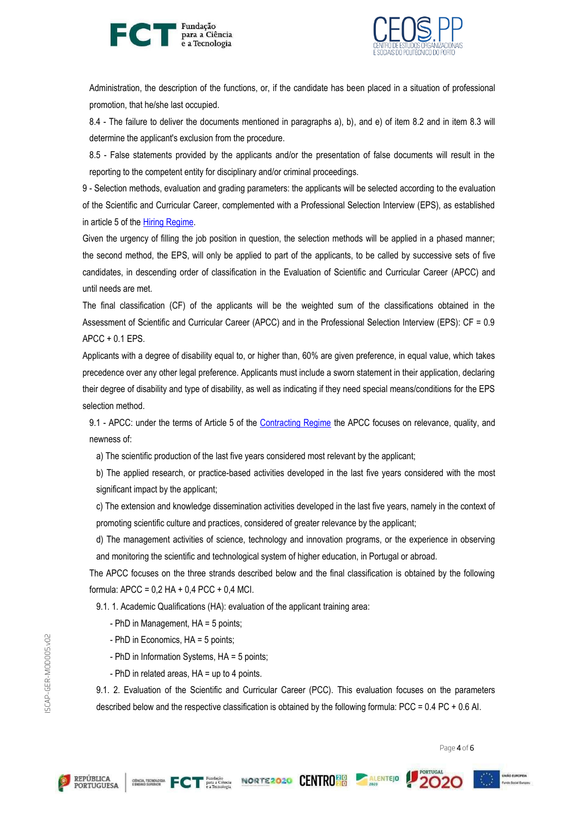



Administration, the description of the functions, or, if the candidate has been placed in a situation of professional promotion, that he/she last occupied.

8.4 - The failure to deliver the documents mentioned in paragraphs a), b), and e) of item 8.2 and in item 8.3 will determine the applicant's exclusion from the procedure.

8.5 - False statements provided by the applicants and/or the presentation of false documents will result in the reporting to the competent entity for disciplinary and/or criminal proceedings.

9 - Selection methods, evaluation and grading parameters: the applicants will be selected according to the evaluation of the Scientific and Curricular Career, complemented with a Professional Selection Interview (EPS), as established in article 5 of the **Hiring Regime**.

Given the urgency of filling the job position in question, the selection methods will be applied in a phased manner; the second method, the EPS, will only be applied to part of the applicants, to be called by successive sets of five candidates, in descending order of classification in the Evaluation of Scientific and Curricular Career (APCC) and until needs are met.

The final classification (CF) of the applicants will be the weighted sum of the classifications obtained in the Assessment of Scientific and Curricular Career (APCC) and in the Professional Selection Interview (EPS): CF = 0.9 APCC + 0.1 EPS.

Applicants with a degree of disability equal to, or higher than, 60% are given preference, in equal value, which takes precedence over any other legal preference. Applicants must include a sworn statement in their application, declaring their degree of disability and type of disability, as well as indicating if they need special means/conditions for the EPS selection method.

9.1 - APCC: under the terms of Article 5 of the [Contracting Regime](https://dre.pt/dre/legislacao-consolidada/decreto-lei/2016-107707370) the APCC focuses on relevance, quality, and newness of:

a) The scientific production of the last five years considered most relevant by the applicant;

b) The applied research, or practice-based activities developed in the last five years considered with the most significant impact by the applicant;

c) The extension and knowledge dissemination activities developed in the last five years, namely in the context of promoting scientific culture and practices, considered of greater relevance by the applicant;

d) The management activities of science, technology and innovation programs, or the experience in observing and monitoring the scientific and technological system of higher education, in Portugal or abroad.

The APCC focuses on the three strands described below and the final classification is obtained by the following formula: APCC = 0,2 HA + 0,4 PCC + 0,4 MCI.

9.1. 1. Academic Qualifications (HA): evaluation of the applicant training area:

- PhD in Management, HA = 5 points;
- PhD in Economics, HA = 5 points;
- PhD in Information Systems, HA = 5 points;
- PhD in related areas, HA = up to 4 points.

9.1. 2. Evaluation of the Scientific and Curricular Career (PCC). This evaluation focuses on the parameters described below and the respective classification is obtained by the following formula: PCC = 0.4 PC + 0.6 AI.

Page 4 of 6



REPÚBLICA<br>PORTUGUESA





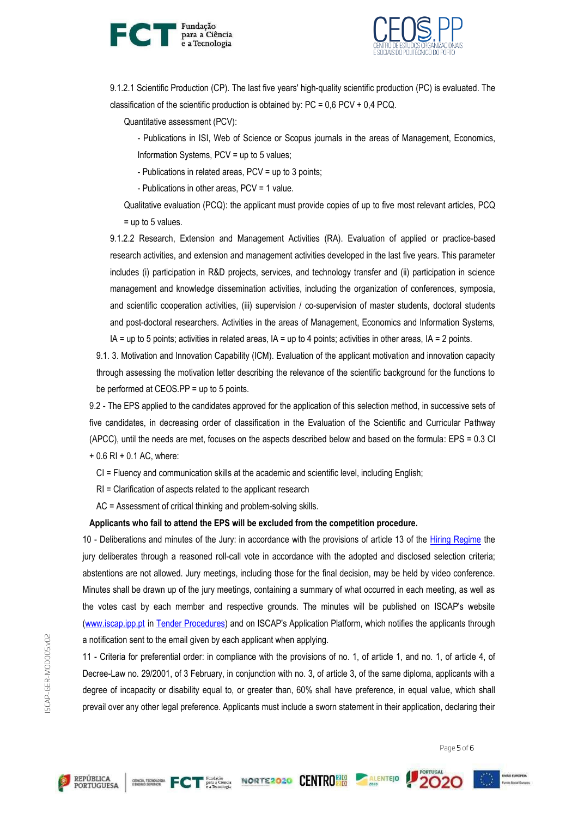



9.1.2.1 Scientific Production (CP). The last five years' high-quality scientific production (PC) is evaluated. The classification of the scientific production is obtained by:  $PC = 0.6$   $PCV + 0.4$   $PCQ$ .

Quantitative assessment (PCV):

- Publications in ISI, Web of Science or Scopus journals in the areas of Management, Economics, Information Systems, PCV = up to 5 values;

- Publications in related areas, PCV = up to 3 points;

- Publications in other areas, PCV = 1 value.

Qualitative evaluation (PCQ): the applicant must provide copies of up to five most relevant articles, PCQ = up to 5 values.

9.1.2.2 Research, Extension and Management Activities (RA). Evaluation of applied or practice-based research activities, and extension and management activities developed in the last five years. This parameter includes (i) participation in R&D projects, services, and technology transfer and (ii) participation in science management and knowledge dissemination activities, including the organization of conferences, symposia, and scientific cooperation activities, (iii) supervision / co-supervision of master students, doctoral students and post-doctoral researchers. Activities in the areas of Management, Economics and Information Systems, IA = up to 5 points; activities in related areas, IA = up to 4 points; activities in other areas, IA = 2 points.

9.1. 3. Motivation and Innovation Capability (ICM). Evaluation of the applicant motivation and innovation capacity through assessing the motivation letter describing the relevance of the scientific background for the functions to be performed at CEOS.PP = up to 5 points.

9.2 - The EPS applied to the candidates approved for the application of this selection method, in successive sets of five candidates, in decreasing order of classification in the Evaluation of the Scientific and Curricular Pathway (APCC), until the needs are met, focuses on the aspects described below and based on the formula: EPS = 0.3 CI  $+ 0.6$  RI  $+ 0.1$  AC, where:

CI = Fluency and communication skills at the academic and scientific level, including English;

RI = Clarification of aspects related to the applicant research

AC = Assessment of critical thinking and problem-solving skills.

## **Applicants who fail to attend the EPS will be excluded from the competition procedure.**

10 - Deliberations and minutes of the Jury: in accordance with the provisions of article 13 of the [Hiring Regime](https://dre.pt/dre/legislacao-consolidada/decreto-lei/2016-107707370) the jury deliberates through a reasoned roll-call vote in accordance with the adopted and disclosed selection criteria; abstentions are not allowed. Jury meetings, including those for the final decision, may be held by video conference. Minutes shall be drawn up of the jury meetings, containing a summary of what occurred in each meeting, as well as the votes cast by each member and respective grounds. The minutes will be published on ISCAP's website [\(www.iscap.ipp.pt](http://www.iscap.ipp.pt/) in [Tender Procedures\)](https://www.iscap.ipp.pt/documentos-publicos/procedimentos-concursais/procedimentos-concursais) and on ISCAP's Application Platform, which notifies the applicants through a notification sent to the email given by each applicant when applying.

11 - Criteria for preferential order: in compliance with the provisions of no. 1, of article 1, and no. 1, of article 4, of Decree-Law no. 29/2001, of 3 February, in conjunction with no. 3, of article 3, of the same diploma, applicants with a degree of incapacity or disability equal to, or greater than, 60% shall have preference, in equal value, which shall prevail over any other legal preference. Applicants must include a sworn statement in their application, declaring their

Page 5 of 6